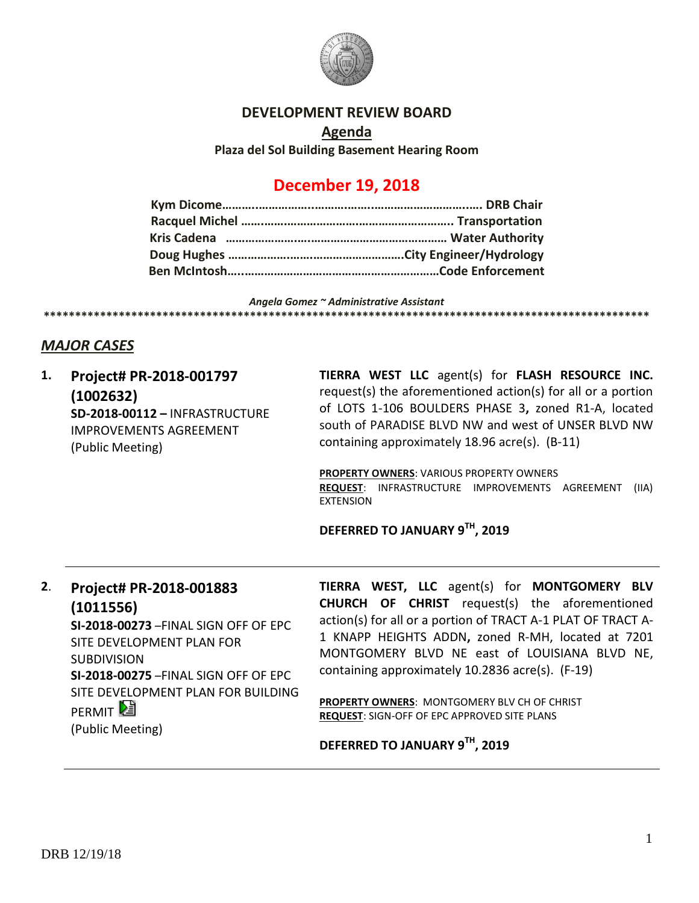

## **DEVELOPMENT REVIEW BOARD**

**Agenda Plaza del Sol Building Basement Hearing Room**

## **December 19, 2018**

*Angela Gomez ~ Administrative Assistant* **\*\*\*\*\*\*\*\*\*\*\*\*\*\*\*\*\*\*\*\*\*\*\*\*\*\*\*\*\*\*\*\*\*\*\*\*\*\*\*\*\*\*\*\*\*\*\*\*\*\*\*\*\*\*\*\*\*\*\*\*\*\*\*\*\*\*\*\*\*\*\*\*\*\*\*\*\*\*\*\*\*\*\*\*\*\*\*\*\*\*\*\*\*\*\*\*\***

## *MAJOR CASES*

| 1. | Project# PR-2018-001797<br>(1002632)<br><b>SD-2018-00112-INFRASTRUCTURE</b><br><b>IMPROVEMENTS AGREEMENT</b><br>(Public Meeting)                                                                                                                       | TIERRA WEST LLC agent(s) for FLASH RESOURCE INC.<br>request(s) the aforementioned action(s) for all or a portion<br>of LOTS 1-106 BOULDERS PHASE 3, zoned R1-A, located<br>south of PARADISE BLVD NW and west of UNSER BLVD NW<br>containing approximately 18.96 acre(s). (B-11)<br><b>PROPERTY OWNERS: VARIOUS PROPERTY OWNERS</b><br><b>REQUEST: INFRASTRUCTURE IMPROVEMENTS AGREEMENT</b><br>(IIA)<br><b>EXTENSION</b><br>DEFERRED TO JANUARY 9TH, 2019  |
|----|--------------------------------------------------------------------------------------------------------------------------------------------------------------------------------------------------------------------------------------------------------|-------------------------------------------------------------------------------------------------------------------------------------------------------------------------------------------------------------------------------------------------------------------------------------------------------------------------------------------------------------------------------------------------------------------------------------------------------------|
| 2. | Project# PR-2018-001883<br>(1011556)<br>SI-2018-00273-FINAL SIGN OFF OF EPC<br>SITE DEVELOPMENT PLAN FOR<br><b>SUBDIVISION</b><br>SI-2018-00275-FINAL SIGN OFF OF EPC<br>SITE DEVELOPMENT PLAN FOR BUILDING<br>PERMIT <sup>2</sup><br>(Public Meeting) | <b>TIERRA WEST, LLC</b> agent(s) for <b>MONTGOMERY BLV</b><br><b>CHURCH OF CHRIST</b> request(s) the aforementioned<br>action(s) for all or a portion of TRACT A-1 PLAT OF TRACT A-<br>1 KNAPP HEIGHTS ADDN, zoned R-MH, located at 7201<br>MONTGOMERY BLVD NE east of LOUISIANA BLVD NE,<br>containing approximately 10.2836 acre(s). (F-19)<br><b>PROPERTY OWNERS: MONTGOMERY BLV CH OF CHRIST</b><br><b>REQUEST: SIGN-OFF OF EPC APPROVED SITE PLANS</b> |

**DEFERRED TO JANUARY 9TH, 2019**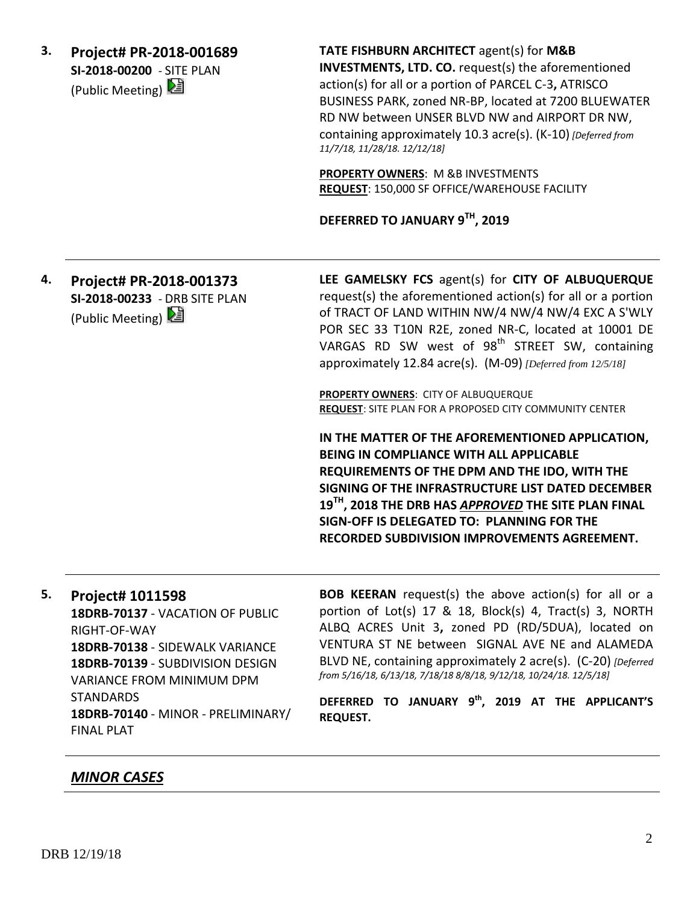**3. Project# PR-2018-001689 SI-2018-00200** - SITE PLAN (Public Meeting)

**TATE FISHBURN ARCHITECT** agent(s) for **M&B INVESTMENTS, LTD. CO.** request(s) the aforementioned action(s) for all or a portion of PARCEL C-3**,** ATRISCO BUSINESS PARK, zoned NR-BP, located at 7200 BLUEWATER RD NW between UNSER BLVD NW and AIRPORT DR NW, containing approximately 10.3 acre(s). (K-10) *[Deferred from 11/7/18, 11/28/18. 12/12/18]*

**PROPERTY OWNERS**: M &B INVESTMENTS **REQUEST**: 150,000 SF OFFICE/WAREHOUSE FACILITY

**DEFERRED TO JANUARY 9TH, 2019**

**4. Project# PR-2018-001373 SI-2018-00233** - DRB SITE PLAN (Public Meeting)

**LEE GAMELSKY FCS** agent(s) for **CITY OF ALBUQUERQUE** request(s) the aforementioned action(s) for all or a portion of TRACT OF LAND WITHIN NW/4 NW/4 NW/4 EXC A S'WLY POR SEC 33 T10N R2E, zoned NR-C, located at 10001 DE VARGAS RD SW west of  $98<sup>th</sup>$  STREET SW, containing approximately 12.84 acre(s). (M-09) *[Deferred from 12/5/18]*

**PROPERTY OWNERS**: CITY OF ALBUQUERQUE **REQUEST**: SITE PLAN FOR A PROPOSED CITY COMMUNITY CENTER

**IN THE MATTER OF THE AFOREMENTIONED APPLICATION, BEING IN COMPLIANCE WITH ALL APPLICABLE REQUIREMENTS OF THE DPM AND THE IDO, WITH THE SIGNING OF THE INFRASTRUCTURE LIST DATED DECEMBER 19TH, 2018 THE DRB HAS** *APPROVED* **THE SITE PLAN FINAL SIGN-OFF IS DELEGATED TO: PLANNING FOR THE RECORDED SUBDIVISION IMPROVEMENTS AGREEMENT.**

**5. Project# 1011598 18DRB-70137** - VACATION OF PUBLIC RIGHT-OF-WAY **18DRB-70138** - SIDEWALK VARIANCE **18DRB-70139** - SUBDIVISION DESIGN VARIANCE FROM MINIMUM DPM **STANDARDS 18DRB-70140** - MINOR - PRELIMINARY/ FINAL PLAT

**BOB KEERAN** request(s) the above action(s) for all or a portion of Lot(s) 17 & 18, Block(s) 4, Tract(s) 3, NORTH ALBQ ACRES Unit 3**,** zoned PD (RD/5DUA), located on VENTURA ST NE between SIGNAL AVE NE and ALAMEDA BLVD NE, containing approximately 2 acre(s). (C-20) *[Deferred from 5/16/18, 6/13/18, 7/18/18 8/8/18, 9/12/18, 10/24/18. 12/5/18]*

**DEFERRED TO JANUARY 9th , 2019 AT THE APPLICANT'S REQUEST.**

## *MINOR CASES*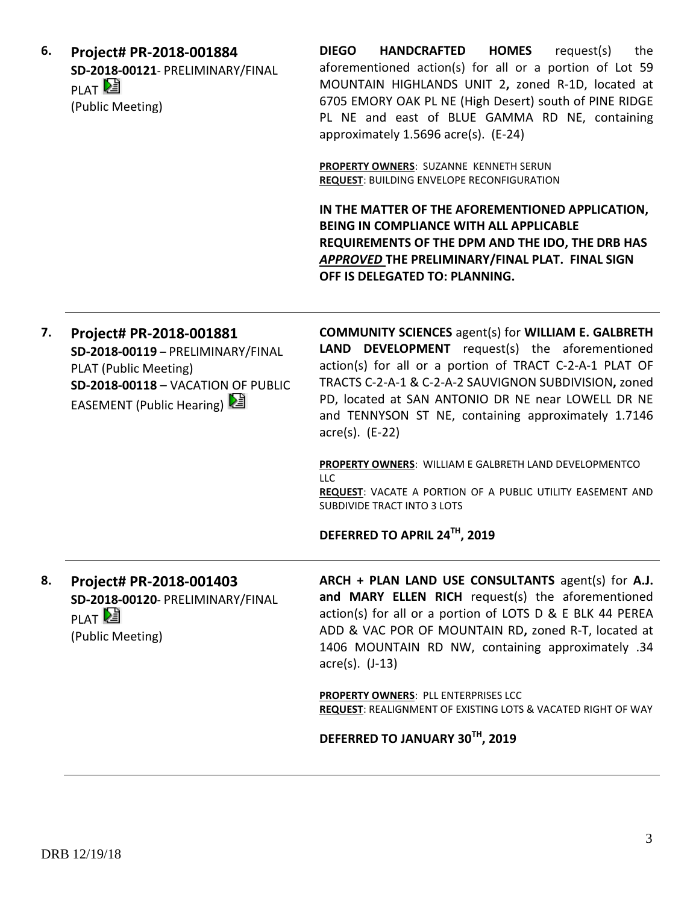**6. Project# PR-2018-001884 SD-2018-00121**- PRELIMINARY/FINAL PLAT<sup>2</sup> (Public Meeting)

**DIEGO HANDCRAFTED HOMES** request(s) the aforementioned action(s) for all or a portion of Lot 59 MOUNTAIN HIGHLANDS UNIT 2**,** zoned R-1D, located at 6705 EMORY OAK PL NE (High Desert) south of PINE RIDGE PL NE and east of BLUE GAMMA RD NE, containing approximately 1.5696 acre(s). (E-24)

**PROPERTY OWNERS**: SUZANNE KENNETH SERUN **REQUEST**: BUILDING ENVELOPE RECONFIGURATION

**IN THE MATTER OF THE AFOREMENTIONED APPLICATION, BEING IN COMPLIANCE WITH ALL APPLICABLE REQUIREMENTS OF THE DPM AND THE IDO, THE DRB HAS**  *APPROVED* **THE PRELIMINARY/FINAL PLAT. FINAL SIGN OFF IS DELEGATED TO: PLANNING.**

| 7. | Project# PR-2018-001881<br>SD-2018-00119 - PRELIMINARY/FINAL<br>PLAT (Public Meeting)<br>SD-2018-00118 - VACATION OF PUBLIC<br>EASEMENT (Public Hearing) | <b>COMMUNITY SCIENCES</b> agent(s) for WILLIAM E. GALBRETH<br><b>LAND DEVELOPMENT</b> request(s) the aforementioned<br>action(s) for all or a portion of TRACT C-2-A-1 PLAT OF<br>TRACTS C-2-A-1 & C-2-A-2 SAUVIGNON SUBDIVISION, zoned<br>PD, located at SAN ANTONIO DR NE near LOWELL DR NE<br>and TENNYSON ST NE, containing approximately 1.7146<br>$\arccos(5)$ . (E-22) |
|----|----------------------------------------------------------------------------------------------------------------------------------------------------------|-------------------------------------------------------------------------------------------------------------------------------------------------------------------------------------------------------------------------------------------------------------------------------------------------------------------------------------------------------------------------------|
|    |                                                                                                                                                          | <b>PROPERTY OWNERS: WILLIAM E GALBRETH LAND DEVELOPMENTCO</b><br><b>LLC</b><br>REQUEST: VACATE A PORTION OF A PUBLIC UTILITY EASEMENT AND<br>SUBDIVIDE TRACT INTO 3 LOTS                                                                                                                                                                                                      |
|    |                                                                                                                                                          | DEFERRED TO APRIL 24TH, 2019                                                                                                                                                                                                                                                                                                                                                  |
| 8. | Project# PR-2018-001403<br>SD-2018-00120- PRELIMINARY/FINAL<br><b>PIAT</b><br>(Public Meeting)                                                           | ARCH + PLAN LAND USE CONSULTANTS agent(s) for A.J.<br>and MARY ELLEN RICH request(s) the aforementioned<br>action(s) for all or a portion of LOTS D & E BLK 44 PEREA<br>ADD & VAC POR OF MOUNTAIN RD, zoned R-T, located at<br>1406 MOUNTAIN RD NW, containing approximately .34<br>$\arccos(5)$ . $(J-13)$                                                                   |
|    |                                                                                                                                                          | PROPERTY OWNERS: PLL ENTERPRISES LCC<br><b>REQUEST: REALIGNMENT OF EXISTING LOTS &amp; VACATED RIGHT OF WAY</b>                                                                                                                                                                                                                                                               |
|    |                                                                                                                                                          | DEFERRED TO JANUARY 30TH, 2019                                                                                                                                                                                                                                                                                                                                                |